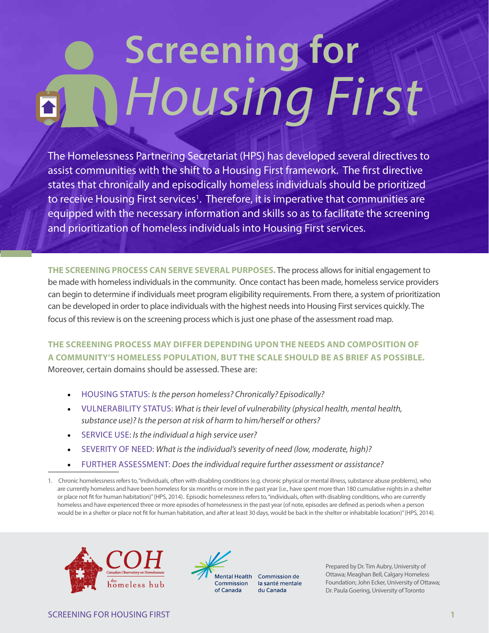# **Screening for**  *Housing First*

The Homelessness Partnering Secretariat (HPS) has developed several directives to assist communities with the shift to a Housing First framework. The first directive states that chronically and episodically homeless individuals should be prioritized to receive Housing First services<sup>1</sup>. Therefore, it is imperative that communities are equipped with the necessary information and skills so as to facilitate the screening and prioritization of homeless individuals into Housing First services.

**THE SCREENING PROCESS CAN SERVE SEVERAL PURPOSES.** The process allows for initial engagement to be made with homeless individuals in the community. Once contact has been made, homeless service providers can begin to determine if individuals meet program eligibility requirements. From there, a system of prioritization can be developed in order to place individuals with the highest needs into Housing First services quickly. The focus of this review is on the screening process which is just one phase of the assessment road map.

**THE SCREENING PROCESS MAY DIFFER DEPENDING UPON THE NEEDS AND COMPOSITION OF A COMMUNITY'S HOMELESS POPULATION, BUT THE SCALE SHOULD BE AS BRIEF AS POSSIBLE.**  Moreover, certain domains should be assessed. These are:

- HOUSING STATUS: *Is the person homeless? Chronically? Episodically?*
- VULNERABILITY STATUS: *What is their level of vulnerability (physical health, mental health, substance use)? Is the person at risk of harm to him/herself or others?*
- SERVICE USE: *Is the individual a high service user?*
- SEVERITY OF NEED: *What is the individual's severity of need (low, moderate, high)?*
- FURTHER ASSESSMENT: *Does the individual require further assessment or assistance?*
- 1. Chronic homelessness refers to, "individuals, often with disabling conditions (e.g. chronic physical or mental illness, substance abuse problems), who are currently homeless and have been homeless for six months or more in the past year (i.e., have spent more than 180 cumulative nights in a shelter or place not fit for human habitation)" (HPS, 2014). Episodic homelessness refers to, "individuals, often with disabling conditions, who are currently homeless and have experienced three or more episodes of homelessness in the past year (of note, episodes are defined as periods when a person would be in a shelter or place not fit for human habitation, and after at least 30 days, would be back in the shelter or inhabitable location)" (HPS, 2014).





Mental Health Commission de la santé mentale du Canada

Prepared by Dr. Tim Aubry, University of Ottawa; Meaghan Bell, Calgary Homeless Foundation; John Ecker, University of Ottawa; Dr. Paula Goering, University of Toronto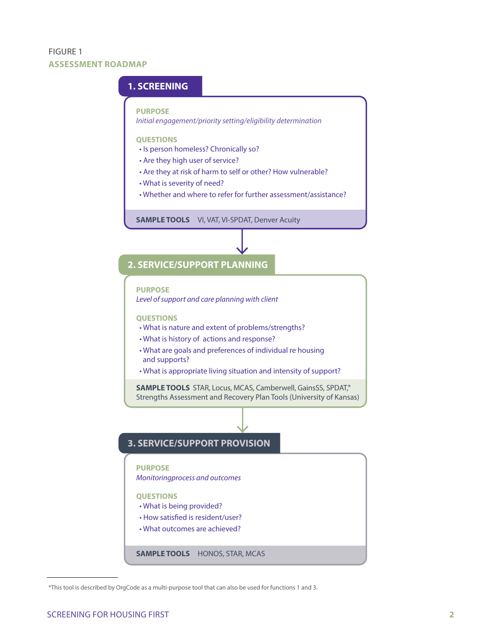#### FIGURE 1 **ASSESSMENT ROADMAP**

#### **1. SCREENING**

#### **PURPOSE**

*Initial engagement/priority setting/eligibility determination*

#### **QUESTIONS**

- Is person homeless? Chronically so?
- Are they high user of service?
- Are they at risk of harm to self or other? How vulnerable?
- What is severity of need?
- Whether and where to refer for further assessment/assistance?

**SAMPLE TOOLS** VI, VAT, VI-SPDAT, Denver Acuity

#### **2. SERVICE/SUPPORT PLANNING**

#### **PURPOSE** *Level of support and care planning with client*

#### **QUESTIONS**

- What is nature and extent of problems/strengths?
- What is history of actions and response?
- What are goals and preferences of individual re housing and supports?
- What is appropriate living situation and intensity of support?

SAMPLE TOOLS STAR, Locus, MCAS, Camberwell, GainsSS, SPDAT,\* Strengths Assessment and Recovery Plan Tools (University of Kansas)

#### **3. SERVICE/SUPPORT PROVISION**

#### **PURPOSE**

*Monitoringprocess and outcomes*

#### **QUESTIONS**

- What is being provided?
- How satisfied is resident/user?
- What outcomes are achieved?

#### **SAMPLE TOOLS** HONOS, STAR, MCAS

<sup>\*</sup>This tool is described by OrgCode as a multi-purpose tool that can also be used for functions 1 and 3.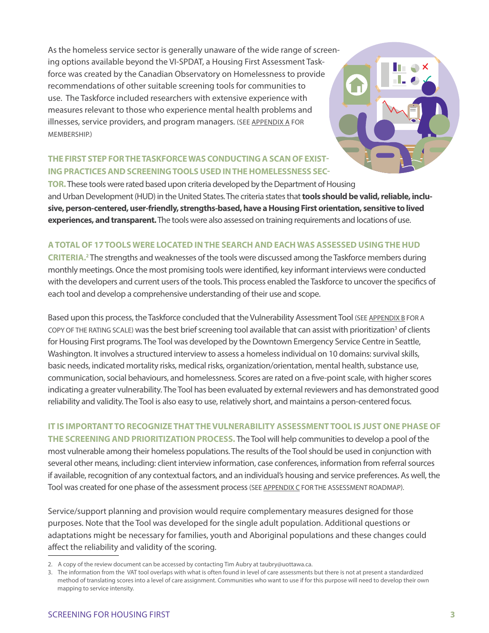As the homeless service sector is generally unaware of the wide range of screening options available beyond the VI-SPDAT, a Housing First Assessment Taskforce was created by the Canadian Observatory on Homelessness to provide recommendations of other suitable screening tools for communities to use. The Taskforce included researchers with extensive experience with measures relevant to those who experience mental health problems and illnesses, service providers, and program managers. (SEE [APPENDIX A](#page-4-0) FOR MEMBERSHIP.)

### **THE FIRST STEP FOR THE TASKFORCE WAS CONDUCTING A SCAN OF EXIST-ING PRACTICES AND SCREENING TOOLS USED IN THE HOMELESSNESS SEC-**

**TOR.** These tools were rated based upon criteria developed by the Department of Housing and Urban Development (HUD) in the United States. The criteria states that **tools should be valid, reliable, inclusive, person-centered, user-friendly, strengths-based, have a Housing First orientation, sensitive to lived experiences, and transparent.** The tools were also assessed on training requirements and locations of use.

#### **A TOTAL OF 17 TOOLS WERE LOCATED IN THE SEARCH AND EACH WAS ASSESSED USING THE HUD**

CRITERIA.<sup>2</sup> The strengths and weaknesses of the tools were discussed among the Taskforce members during monthly meetings. Once the most promising tools were identified, key informant interviews were conducted with the developers and current users of the tools. This process enabled the Taskforce to uncover the specifics of each tool and develop a comprehensive understanding of their use and scope.

Based upon this process, the Taskforce concluded that the Vulnerability Assessment Tool (SEE [APPENDIX B](#page-5-0) FOR A COPY OF THE RATING SCALE) was the best brief screening tool available that can assist with prioritization<sup>3</sup> of clients for Housing First programs. The Tool was developed by the Downtown Emergency Service Centre in Seattle, Washington. It involves a structured interview to assess a homeless individual on 10 domains: survival skills, basic needs, indicated mortality risks, medical risks, organization/orientation, mental health, substance use, communication, social behaviours, and homelessness. Scores are rated on a five-point scale, with higher scores indicating a greater vulnerability. The Tool has been evaluated by external reviewers and has demonstrated good reliability and validity. The Tool is also easy to use, relatively short, and maintains a person-centered focus.

#### **IT IS IMPORTANT TO RECOGNIZE THAT THE VULNERABILITY ASSESSMENT TOOL IS JUST ONE PHASE OF**

**THE SCREENING AND PRIORITIZATION PROCESS.** The Tool will help communities to develop a pool of the most vulnerable among their homeless populations. The results of the Tool should be used in conjunction with several other means, including: client interview information, case conferences, information from referral sources if available, recognition of any contextual factors, and an individual's housing and service preferences. As well, the Tool was created for one phase of the assessment process (SEE APPENDIX C FOR THE ASSESSMENT ROADMAP).

Service/support planning and provision would require complementary measures designed for those purposes. Note that the Tool was developed for the single adult population. Additional questions or adaptations might be necessary for families, youth and Aboriginal populations and these changes could affect the reliability and validity of the scoring.

<sup>2.</sup> A copy of the review document can be accessed by contacting Tim Aubry at taubry@uottawa.ca.

<sup>3.</sup> The information from the VAT tool overlaps with what is often found in level of care assessments but there is not at present a standardized method of translating scores into a level of care assignment. Communities who want to use if for this purpose will need to develop their own mapping to service intensity.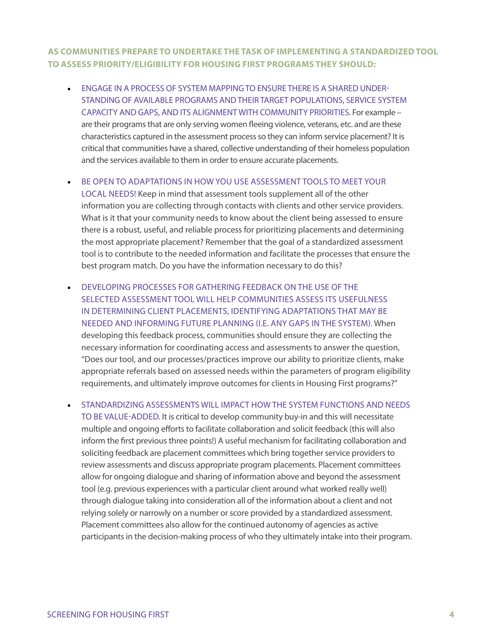#### **AS COMMUNITIES PREPARE TO UNDERTAKE THE TASK OF IMPLEMENTING A STANDARDIZED TOOL TO ASSESS PRIORITY/ELIGIBILITY FOR HOUSING FIRST PROGRAMS THEY SHOULD:**

- ENGAGE IN A PROCESS OF SYSTEM MAPPING TO ENSURE THERE IS A SHARED UNDER-STANDING OF AVAILABLE PROGRAMS AND THEIR TARGET POPULATIONS, SERVICE SYSTEM CAPACITY AND GAPS, AND ITS ALIGNMENT WITH COMMUNITY PRIORITIES. For example – are their programs that are only serving women fleeing violence, veterans, etc. and are these characteristics captured in the assessment process so they can inform service placement? It is critical that communities have a shared, collective understanding of their homeless population and the services available to them in order to ensure accurate placements.
- BE OPEN TO ADAPTATIONS IN HOW YOU USE ASSESSMENT TOOLS TO MEET YOUR

LOCAL NEEDS! Keep in mind that assessment tools supplement all of the other information you are collecting through contacts with clients and other service providers. What is it that your community needs to know about the client being assessed to ensure there is a robust, useful, and reliable process for prioritizing placements and determining the most appropriate placement? Remember that the goal of a standardized assessment tool is to contribute to the needed information and facilitate the processes that ensure the best program match. Do you have the information necessary to do this?

- DEVELOPING PROCESSES FOR GATHERING FEEDBACK ON THE USE OF THE SELECTED ASSESSMENT TOOL WILL HELP COMMUNITIES ASSESS ITS USEFULNESS IN DETERMINING CLIENT PLACEMENTS, IDENTIFYING ADAPTATIONS THAT MAY BE NEEDED AND INFORMING FUTURE PLANNING (I.E. ANY GAPS IN THE SYSTEM). When developing this feedback process, communities should ensure they are collecting the necessary information for coordinating access and assessments to answer the question, "Does our tool, and our processes/practices improve our ability to prioritize clients, make appropriate referrals based on assessed needs within the parameters of program eligibility requirements, and ultimately improve outcomes for clients in Housing First programs?"
- STANDARDIZING ASSESSMENTS WILL IMPACT HOW THE SYSTEM FUNCTIONS AND NEEDS TO BE VALUE-ADDED. It is critical to develop community buy-in and this will necessitate multiple and ongoing efforts to facilitate collaboration and solicit feedback (this will also inform the first previous three points!) A useful mechanism for facilitating collaboration and soliciting feedback are placement committees which bring together service providers to review assessments and discuss appropriate program placements. Placement committees allow for ongoing dialogue and sharing of information above and beyond the assessment tool (e.g. previous experiences with a particular client around what worked really well) through dialogue taking into consideration all of the information about a client and not relying solely or narrowly on a number or score provided by a standardized assessment. Placement committees also allow for the continued autonomy of agencies as active participants in the decision-making process of who they ultimately intake into their program.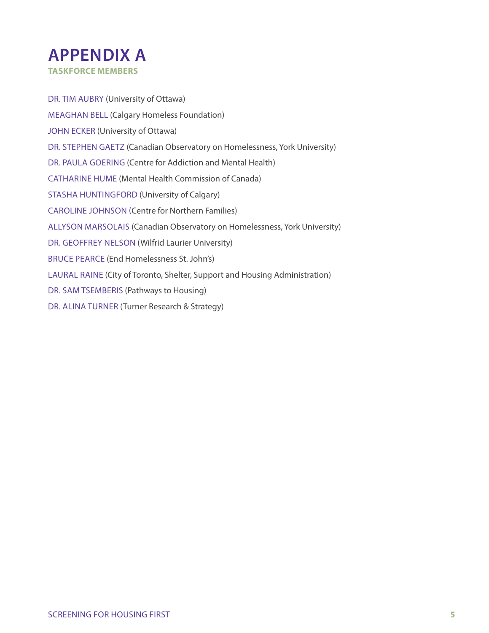<span id="page-4-0"></span>

DR. TIM AUBRY (University of Ottawa) MEAGHAN BELL (Calgary Homeless Foundation) JOHN ECKER (University of Ottawa) DR. STEPHEN GAETZ (Canadian Observatory on Homelessness, York University) DR. PAULA GOERING (Centre for Addiction and Mental Health) CATHARINE HUME (Mental Health Commission of Canada) STASHA HUNTINGFORD (University of Calgary) CAROLINE JOHNSON (Centre for Northern Families) ALLYSON MARSOLAIS (Canadian Observatory on Homelessness, York University) DR. GEOFFREY NELSON (Wilfrid Laurier University) BRUCE PEARCE (End Homelessness St. John's) LAURAL RAINE (City of Toronto, Shelter, Support and Housing Administration) DR. SAM TSEMBERIS (Pathways to Housing) DR. ALINA TURNER (Turner Research & Strategy)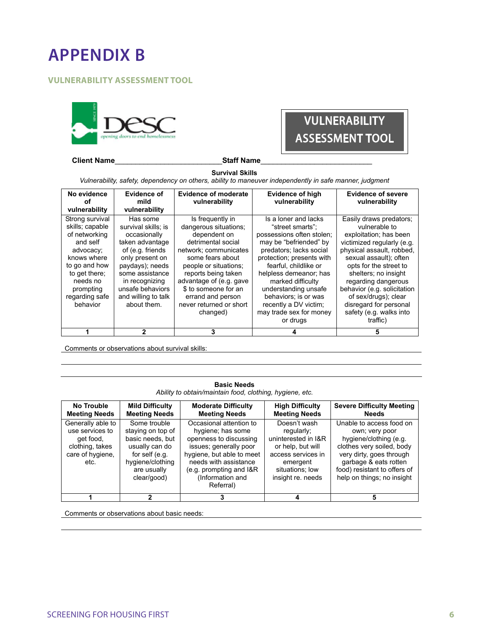<span id="page-5-0"></span>

#### **FOULNERABILITY ASSESSMENT TOOL**



#### **Client Name**<br> **Client Name**

VULNERABILITY

ASSESSMENT TOOL

**Survival Skills**  *Vulnerability, safety, dependency on others, ability to maneuver independently in safe manner, judgment* 

| No evidence<br>оf<br>vulnerability                                                                                                                                                   | Evidence of<br>mild<br>vulnerability                                                                                                                                                                                         | <b>Evidence of moderate</b><br>vulnerability                                                                                                                                                                                                                                                | Evidence of high<br>vulnerability                                                                                                                                                                                                                                                                                                               | <b>Evidence of severe</b><br>vulnerability                                                                                                                                                                                                                                                                                                               |
|--------------------------------------------------------------------------------------------------------------------------------------------------------------------------------------|------------------------------------------------------------------------------------------------------------------------------------------------------------------------------------------------------------------------------|---------------------------------------------------------------------------------------------------------------------------------------------------------------------------------------------------------------------------------------------------------------------------------------------|-------------------------------------------------------------------------------------------------------------------------------------------------------------------------------------------------------------------------------------------------------------------------------------------------------------------------------------------------|----------------------------------------------------------------------------------------------------------------------------------------------------------------------------------------------------------------------------------------------------------------------------------------------------------------------------------------------------------|
| Strong survival<br>skills; capable<br>of networking<br>and self<br>advocacy;<br>knows where<br>to go and how<br>to get there:<br>needs no<br>prompting<br>regarding safe<br>behavior | Has some<br>survival skills: is<br>occasionally<br>taken advantage<br>of (e.g. friends)<br>only present on<br>paydays); needs<br>some assistance<br>in recognizing<br>unsafe behaviors<br>and willing to talk<br>about them. | Is frequently in<br>dangerous situations;<br>dependent on<br>detrimental social<br>network; communicates<br>some fears about<br>people or situations;<br>reports being taken<br>advantage of (e.g. gave<br>\$ to someone for an<br>errand and person<br>never returned or short<br>changed) | Is a loner and lacks<br>"street smarts":<br>possessions often stolen;<br>may be "befriended" by<br>predators; lacks social<br>protection; presents with<br>fearful, childlike or<br>helpless demeanor; has<br>marked difficulty<br>understanding unsafe<br>behaviors; is or was<br>recently a DV victim;<br>may trade sex for money<br>or drugs | Easily draws predators;<br>vulnerable to<br>exploitation; has been<br>victimized regularly (e.g.<br>physical assault, robbed,<br>sexual assault); often<br>opts for the street to<br>shelters; no insight<br>regarding dangerous<br>behavior (e.g. solicitation<br>of sex/drugs); clear<br>disregard for personal<br>safety (e.g. walks into<br>traffic) |
|                                                                                                                                                                                      | 2                                                                                                                                                                                                                            | 3                                                                                                                                                                                                                                                                                           |                                                                                                                                                                                                                                                                                                                                                 | 5                                                                                                                                                                                                                                                                                                                                                        |

Comments or observations about survival skills:

| <b>Basic Needs</b><br>Ability to obtain/maintain food, clothing, hygiene, etc.                   |                                                                                                                                             |                                                                                                                                                                                                                        |                                                                                                                                                  |                                                                                                                                                                                                                      |
|--------------------------------------------------------------------------------------------------|---------------------------------------------------------------------------------------------------------------------------------------------|------------------------------------------------------------------------------------------------------------------------------------------------------------------------------------------------------------------------|--------------------------------------------------------------------------------------------------------------------------------------------------|----------------------------------------------------------------------------------------------------------------------------------------------------------------------------------------------------------------------|
| No Trouble<br><b>Meeting Needs</b>                                                               | <b>Mild Difficulty</b><br><b>Meeting Needs</b>                                                                                              | <b>Moderate Difficulty</b><br><b>Meeting Needs</b>                                                                                                                                                                     | <b>High Difficulty</b><br><b>Meeting Needs</b>                                                                                                   | <b>Severe Difficulty Meeting</b><br><b>Needs</b>                                                                                                                                                                     |
| Generally able to<br>use services to<br>get food,<br>clothing, takes<br>care of hygiene,<br>etc. | Some trouble<br>staying on top of<br>basic needs, but<br>usually can do<br>for self (e.g.<br>hygiene/clothing<br>are usually<br>clear/good) | Occasional attention to<br>hygiene; has some<br>openness to discussing<br>issues; generally poor<br>hygiene, but able to meet<br>needs with assistance<br>$(e.g.$ prompting and $1&R$<br>(Information and<br>Referral) | Doesn't wash<br>regularly;<br>uninterested in I&R<br>or help, but will<br>access services in<br>emergent<br>situations: low<br>insight re. needs | Unable to access food on<br>own; very poor<br>hygiene/clothing (e.g.<br>clothes very soiled, body<br>very dirty, goes through<br>garbage & eats rotten<br>food) resistant to offers of<br>help on things; no insight |
|                                                                                                  | 2                                                                                                                                           | 3                                                                                                                                                                                                                      |                                                                                                                                                  | 5                                                                                                                                                                                                                    |

Comments or observations about basic needs: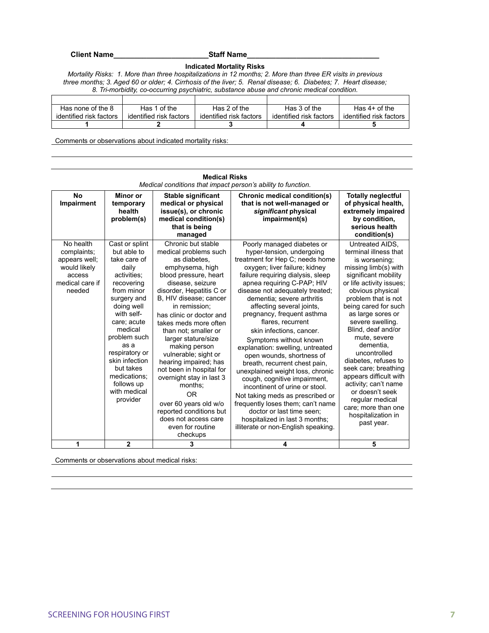**Client Name\_\_\_\_\_\_\_\_\_\_\_\_\_\_\_\_\_\_\_\_\_\_\_Staff Name\_\_\_\_\_\_\_\_\_\_\_\_\_\_\_\_\_\_\_\_\_\_\_\_\_\_\_\_\_\_\_\_**

**Indicated Mortality Risks** 

*Mortality Risks: 1. More than three hospitalizations in 12 months; 2. More than three ER visits in previous three months; 3. Aged 60 or older; 4. Cirrhosis of the liver; 5. Renal disease; 6. Diabetes; 7. Heart disease; 8. Tri-morbidity, co-occurring psychiatric, substance abuse and chronic medical condition.* 

| Has none of the 8       | Has 1 of the            | Has 2 of the            | Has 3 of the            | Has $4+$ of the         |
|-------------------------|-------------------------|-------------------------|-------------------------|-------------------------|
| identified risk factors | identified risk factors | identified risk factors | identified risk factors | identified risk factors |
|                         |                         |                         |                         |                         |

Comments or observations about indicated mortality risks:

|                                                                                                  | <b>Medical Risks</b><br>Medical conditions that impact person's ability to function.                                                                                                                                                                                                                      |                                                                                                                                                                                                                                                                                                                                                                                                                                                                                                                                                                           |                                                                                                                                                                                                                                                                                                                                                                                                                                                                                                                                                                                                                                                                                                                                                                                              |                                                                                                                                                                                                                                                                                                                                                                                                                                                                                                                         |  |
|--------------------------------------------------------------------------------------------------|-----------------------------------------------------------------------------------------------------------------------------------------------------------------------------------------------------------------------------------------------------------------------------------------------------------|---------------------------------------------------------------------------------------------------------------------------------------------------------------------------------------------------------------------------------------------------------------------------------------------------------------------------------------------------------------------------------------------------------------------------------------------------------------------------------------------------------------------------------------------------------------------------|----------------------------------------------------------------------------------------------------------------------------------------------------------------------------------------------------------------------------------------------------------------------------------------------------------------------------------------------------------------------------------------------------------------------------------------------------------------------------------------------------------------------------------------------------------------------------------------------------------------------------------------------------------------------------------------------------------------------------------------------------------------------------------------------|-------------------------------------------------------------------------------------------------------------------------------------------------------------------------------------------------------------------------------------------------------------------------------------------------------------------------------------------------------------------------------------------------------------------------------------------------------------------------------------------------------------------------|--|
| <b>No</b><br>Impairment                                                                          | Minor or<br>temporary<br>health<br>problem(s)                                                                                                                                                                                                                                                             | Stable significant<br>medical or physical<br>issue(s), or chronic<br>medical condition(s)<br>that is being<br>managed                                                                                                                                                                                                                                                                                                                                                                                                                                                     | Chronic medical condition(s)<br>that is not well-managed or<br>significant physical<br>impairment(s)                                                                                                                                                                                                                                                                                                                                                                                                                                                                                                                                                                                                                                                                                         | <b>Totally neglectful</b><br>of physical health,<br>extremely impaired<br>by condition,<br>serious health<br>condition(s)                                                                                                                                                                                                                                                                                                                                                                                               |  |
| No health<br>complaints;<br>appears well;<br>would likely<br>access<br>medical care if<br>needed | Cast or splint<br>but able to<br>take care of<br>daily<br>activities:<br>recovering<br>from minor<br>surgery and<br>doing well<br>with self-<br>care; acute<br>medical<br>problem such<br>as a<br>respiratory or<br>skin infection<br>but takes<br>medications;<br>follows up<br>with medical<br>provider | Chronic but stable<br>medical problems such<br>as diabetes.<br>emphysema, high<br>blood pressure, heart<br>disease, seizure<br>disorder, Hepatitis C or<br>B. HIV disease: cancer<br>in remission:<br>has clinic or doctor and<br>takes meds more often<br>than not: smaller or<br>larger stature/size<br>making person<br>vulnerable; sight or<br>hearing impaired; has<br>not been in hospital for<br>overnight stay in last 3<br>months:<br>0 <sub>R</sub><br>over 60 years old w/o<br>reported conditions but<br>does not access care<br>even for routine<br>checkups | Poorly managed diabetes or<br>hyper-tension, undergoing<br>treatment for Hep C; needs home<br>oxygen; liver failure; kidney<br>failure requiring dialysis, sleep<br>apnea requiring C-PAP; HIV<br>disease not adequately treated;<br>dementia: severe arthritis<br>affecting several joints,<br>pregnancy, frequent asthma<br>flares, recurrent<br>skin infections, cancer.<br>Symptoms without known<br>explanation: swelling, untreated<br>open wounds, shortness of<br>breath, recurrent chest pain,<br>unexplained weight loss, chronic<br>cough, cognitive impairment,<br>incontinent of urine or stool.<br>Not taking meds as prescribed or<br>frequently loses them; can't name<br>doctor or last time seen:<br>hospitalized in last 3 months;<br>illiterate or non-English speaking. | Untreated AIDS,<br>terminal illness that<br>is worsening;<br>missing limb(s) with<br>significant mobility<br>or life activity issues:<br>obvious physical<br>problem that is not<br>being cared for such<br>as large sores or<br>severe swelling.<br>Blind, deaf and/or<br>mute, severe<br>dementia.<br>uncontrolled<br>diabetes, refuses to<br>seek care; breathing<br>appears difficult with<br>activity; can't name<br>or doesn't seek<br>regular medical<br>care; more than one<br>hospitalization in<br>past year. |  |
| 1                                                                                                | 2                                                                                                                                                                                                                                                                                                         | 3                                                                                                                                                                                                                                                                                                                                                                                                                                                                                                                                                                         | 4                                                                                                                                                                                                                                                                                                                                                                                                                                                                                                                                                                                                                                                                                                                                                                                            | 5                                                                                                                                                                                                                                                                                                                                                                                                                                                                                                                       |  |

Comments or observations about medical risks: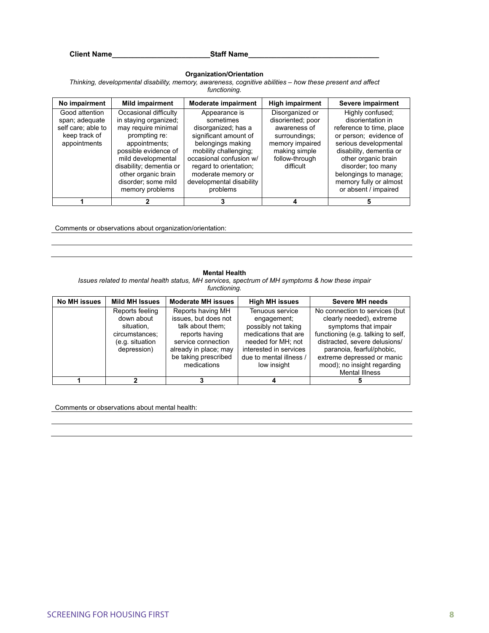**Client Name Community Staff Name** 

#### **Organization/Orientation**

*Thinking, developmental disability, memory, awareness, cognitive abilities – how these present and affect functioning.* 

| No impairment                                                                           | <b>Mild impairment</b>                                                                                                                                                                                                                            | <b>Moderate impairment</b>                                                                                                                                                                                                                  | <b>High impairment</b>                                                                                                                   | Severe impairment                                                                                                                                                                                                                                                       |
|-----------------------------------------------------------------------------------------|---------------------------------------------------------------------------------------------------------------------------------------------------------------------------------------------------------------------------------------------------|---------------------------------------------------------------------------------------------------------------------------------------------------------------------------------------------------------------------------------------------|------------------------------------------------------------------------------------------------------------------------------------------|-------------------------------------------------------------------------------------------------------------------------------------------------------------------------------------------------------------------------------------------------------------------------|
| Good attention<br>span; adequate<br>self care; able to<br>keep track of<br>appointments | Occasional difficulty<br>in staying organized;<br>may require minimal<br>prompting re:<br>appointments:<br>possible evidence of<br>mild developmental<br>disability; dementia or<br>other organic brain<br>disorder; some mild<br>memory problems | Appearance is<br>sometimes<br>disorganized; has a<br>significant amount of<br>belongings making<br>mobility challenging;<br>occasional confusion w/<br>regard to orientation;<br>moderate memory or<br>developmental disability<br>problems | Disorganized or<br>disoriented; poor<br>awareness of<br>surroundings;<br>memory impaired<br>making simple<br>follow-through<br>difficult | Highly confused;<br>disorientation in<br>reference to time, place<br>or person: evidence of<br>serious developmental<br>disability, dementia or<br>other organic brain<br>disorder; too many<br>belongings to manage;<br>memory fully or almost<br>or absent / impaired |
|                                                                                         |                                                                                                                                                                                                                                                   |                                                                                                                                                                                                                                             |                                                                                                                                          |                                                                                                                                                                                                                                                                         |

Comments or observations about organization/orientation:

#### **Mental Health**

*Issues related to mental health status, MH services, spectrum of MH symptoms & how these impair functioning.* 

| <b>No MH issues</b> | <b>Mild MH Issues</b> | <b>Moderate MH issues</b> | <b>High MH issues</b>   | Severe MH needs                    |
|---------------------|-----------------------|---------------------------|-------------------------|------------------------------------|
|                     | Reports feeling       | Reports having MH         | Tenuous service         | No connection to services (but     |
|                     | down about            | issues, but does not      | engagement;             | clearly needed), extreme           |
|                     | situation.            | talk about them:          | possibly not taking     | symptoms that impair               |
|                     | circumstances:        | reports having            | medications that are    | functioning (e.g. talking to self. |
|                     | (e.g. situation       | service connection        | needed for MH; not      | distracted, severe delusions/      |
|                     | depression)           | already in place; may     | interested in services  | paranoia, fearful/phobic,          |
|                     |                       | be taking prescribed      | due to mental illness / | extreme depressed or manic         |
|                     |                       | medications               | low insight             | mood); no insight regarding        |
|                     |                       |                           |                         | <b>Mental Illness</b>              |
|                     |                       |                           |                         |                                    |

Comments or observations about mental health: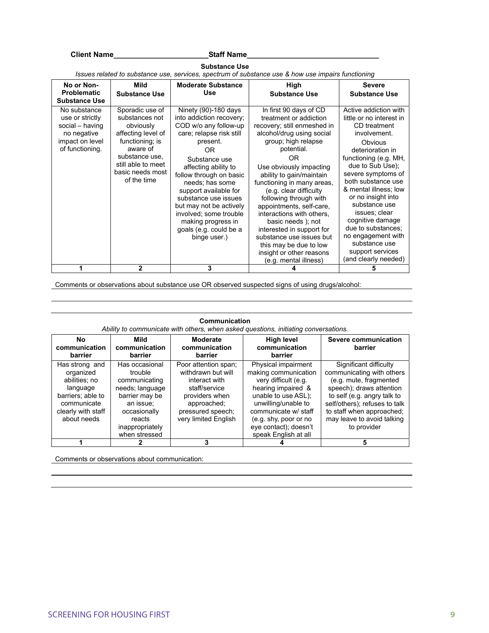#### Client Name\_\_\_\_\_\_\_\_\_\_\_\_\_\_\_\_\_\_\_\_\_\_\_\_\_\_\_\_\_\_Staff Name\_\_\_\_\_\_\_\_\_\_\_\_\_\_\_\_\_\_\_\_\_\_\_\_\_\_\_\_\_\_

|                                                                                                         | Issues related to substance use, services, spectrum of substance use & how use impairs functioning                                                                             |                                                                                                                                                                                                                                                                                                                                                                                      |                                                                                                                                                                                                                                                                                                                                                                                                                                                                                               |                                                                                                                                                                                                                                                                                                                                                                                                                         |  |
|---------------------------------------------------------------------------------------------------------|--------------------------------------------------------------------------------------------------------------------------------------------------------------------------------|--------------------------------------------------------------------------------------------------------------------------------------------------------------------------------------------------------------------------------------------------------------------------------------------------------------------------------------------------------------------------------------|-----------------------------------------------------------------------------------------------------------------------------------------------------------------------------------------------------------------------------------------------------------------------------------------------------------------------------------------------------------------------------------------------------------------------------------------------------------------------------------------------|-------------------------------------------------------------------------------------------------------------------------------------------------------------------------------------------------------------------------------------------------------------------------------------------------------------------------------------------------------------------------------------------------------------------------|--|
| No or Non-                                                                                              | Mild                                                                                                                                                                           | <b>Moderate Substance</b>                                                                                                                                                                                                                                                                                                                                                            | High                                                                                                                                                                                                                                                                                                                                                                                                                                                                                          | <b>Severe</b>                                                                                                                                                                                                                                                                                                                                                                                                           |  |
| <b>Problematic</b>                                                                                      | <b>Substance Use</b>                                                                                                                                                           | Use                                                                                                                                                                                                                                                                                                                                                                                  | <b>Substance Use</b>                                                                                                                                                                                                                                                                                                                                                                                                                                                                          | <b>Substance Use</b>                                                                                                                                                                                                                                                                                                                                                                                                    |  |
| <b>Substance Use</b>                                                                                    |                                                                                                                                                                                |                                                                                                                                                                                                                                                                                                                                                                                      |                                                                                                                                                                                                                                                                                                                                                                                                                                                                                               |                                                                                                                                                                                                                                                                                                                                                                                                                         |  |
| No substance<br>use or strictly<br>social - having<br>no negative<br>impact on level<br>of functioning. | Sporadic use of<br>substances not<br>obviously<br>affecting level of<br>functioning; is<br>aware of<br>substance use.<br>still able to meet<br>basic needs most<br>of the time | Ninety (90)-180 days<br>into addiction recovery;<br>COD w/o any follow-up<br>care; relapse risk still<br>present.<br>0R<br>Substance use<br>affecting ability to<br>follow through on basic<br>needs; has some<br>support available for<br>substance use issues<br>but may not be actively<br>involved; some trouble<br>making progress in<br>goals (e.g. could be a<br>binge user.) | In first 90 days of CD<br>treatment or addiction<br>recovery; still enmeshed in<br>alcohol/drug using social<br>group; high relapse<br>potential.<br>OR<br>Use obviously impacting<br>ability to gain/maintain<br>functioning in many areas,<br>(e.g. clear difficulty<br>following through with<br>appointments, self-care,<br>interactions with others.<br>basic needs); not<br>interested in support for<br>substance use issues but<br>this may be due to low<br>insight or other reasons | Active addiction with<br>little or no interest in<br>CD treatment<br>involvement.<br>Obvious<br>deterioration in<br>functioning (e.g. MH,<br>due to Sub Use);<br>severe symptoms of<br>both substance use<br>& mental illness; low<br>or no insight into<br>substance use<br>issues; clear<br>cognitive damage<br>due to substances;<br>no engagement with<br>substance use<br>support services<br>(and clearly needed) |  |
|                                                                                                         | $\mathbf{2}$                                                                                                                                                                   | 3                                                                                                                                                                                                                                                                                                                                                                                    | (e.g. mental illness)                                                                                                                                                                                                                                                                                                                                                                                                                                                                         | 5                                                                                                                                                                                                                                                                                                                                                                                                                       |  |

**Substance Use** 

Comments or observations about substance use OR observed suspected signs of using drugs/alcohol:

**Communication** 

|                                                                                                                                   | Ability to communicate with others, when asked questions, initiating conversations.                                                       |                                                                                                                                                            |                                                                                                                                                                                                                   |                                                                                                                                                                                                                                                     |  |
|-----------------------------------------------------------------------------------------------------------------------------------|-------------------------------------------------------------------------------------------------------------------------------------------|------------------------------------------------------------------------------------------------------------------------------------------------------------|-------------------------------------------------------------------------------------------------------------------------------------------------------------------------------------------------------------------|-----------------------------------------------------------------------------------------------------------------------------------------------------------------------------------------------------------------------------------------------------|--|
| No<br>communication<br>barrier                                                                                                    | Mild<br>communication<br>barrier                                                                                                          | <b>Moderate</b><br>communication<br>barrier                                                                                                                | <b>High level</b><br>communication<br>barrier                                                                                                                                                                     | Severe communication<br>barrier                                                                                                                                                                                                                     |  |
| Has strong and<br>organized<br>abilities: no<br>language<br>barriers; able to<br>communicate<br>clearly with staff<br>about needs | Has occasional<br>trouble<br>communicating<br>needs; language<br>barrier may be<br>an issue:<br>occasionally<br>reacts<br>inappropriately | Poor attention span:<br>withdrawn but will<br>interact with<br>staff/service<br>providers when<br>approached;<br>pressured speech;<br>very limited English | Physical impairment<br>making communication<br>very difficult (e.g.<br>hearing impaired &<br>unable to use ASL);<br>unwilling/unable to<br>communicate w/ staff<br>(e.g. shy, poor or no<br>eye contact); doesn't | Significant difficulty<br>communicating with others<br>(e.g. mute, fragmented<br>speech); draws attention<br>to self (e.g. angry talk to<br>self/others); refuses to talk<br>to staff when approached;<br>may leave to avoid talking<br>to provider |  |
|                                                                                                                                   | when stressed                                                                                                                             |                                                                                                                                                            | speak English at all                                                                                                                                                                                              |                                                                                                                                                                                                                                                     |  |
|                                                                                                                                   |                                                                                                                                           | 3                                                                                                                                                          |                                                                                                                                                                                                                   |                                                                                                                                                                                                                                                     |  |

Comments or observations about communication: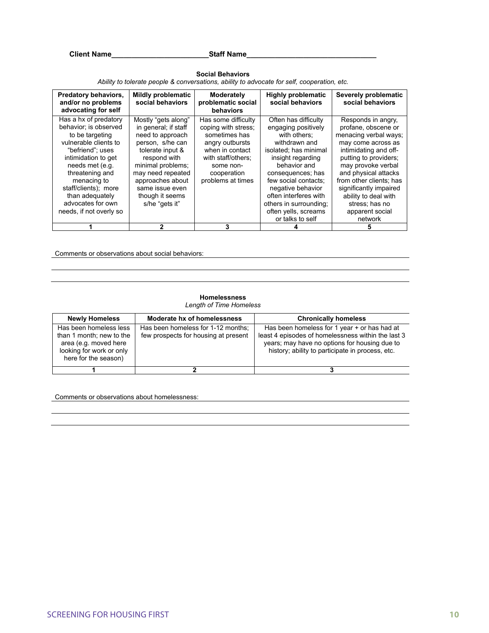Client Name\_\_\_\_\_\_\_\_\_\_\_\_\_\_\_\_\_\_\_\_\_\_\_\_\_\_\_\_\_\_\_\_Staff Name\_\_\_\_\_\_\_\_\_\_\_\_\_\_\_\_\_\_\_\_\_\_\_\_\_\_\_\_

| Predatory behaviors,<br>and/or no problems<br>advocating for self | <b>Mildly problematic</b><br>social behaviors | Moderately<br>problematic social<br>behaviors | <b>Highly problematic</b><br>social behaviors | Severely problematic<br>social behaviors |
|-------------------------------------------------------------------|-----------------------------------------------|-----------------------------------------------|-----------------------------------------------|------------------------------------------|
| Has a hx of predatory                                             | Mostly "gets along"                           | Has some difficulty                           | Often has difficulty                          | Responds in angry.                       |
| behavior; is observed                                             | in general; if staff                          | coping with stress:                           | engaging positively                           | profane, obscene or                      |
| to be targeting                                                   | need to approach                              | sometimes has                                 | with others:                                  | menacing verbal ways;                    |
| vulnerable clients to                                             | person, s/he can                              | angry outbursts                               | withdrawn and                                 | may come across as                       |
| "befriend": uses                                                  | tolerate input &                              | when in contact                               | isolated; has minimal                         | intimidating and off-                    |
| intimidation to get                                               | respond with                                  | with staff/others;                            | insight regarding                             | putting to providers:                    |
| needs met (e.g.                                                   | minimal problems;                             | some non-                                     | behavior and                                  | may provoke verbal                       |
| threatening and                                                   | may need repeated                             | cooperation                                   | consequences; has                             | and physical attacks                     |
| menacing to                                                       | approaches about                              | problems at times                             | few social contacts:                          | from other clients; has                  |
| staff/clients); more                                              | same issue even                               |                                               | negative behavior                             | significantly impaired                   |
| than adequately                                                   | though it seems                               |                                               | often interferes with                         | ability to deal with                     |
| advocates for own                                                 | s/he "gets it"                                |                                               | others in surrounding;                        | stress; has no                           |
| needs, if not overly so                                           |                                               |                                               | often yells, screams                          | apparent social                          |
|                                                                   |                                               |                                               | or talks to self                              | network                                  |
|                                                                   | 2                                             | 3                                             |                                               |                                          |

#### **Social Behaviors**  *Ability to tolerate people & conversations, ability to advocate for self, cooperation, etc.*

Comments or observations about social behaviors:

#### **Homelessness**

*Length of Time Homeless* 

| <b>Newly Homeless</b>                                                                                                           | Moderate hx of homelessness                                                | <b>Chronically homeless</b>                                                                                                                                                                             |
|---------------------------------------------------------------------------------------------------------------------------------|----------------------------------------------------------------------------|---------------------------------------------------------------------------------------------------------------------------------------------------------------------------------------------------------|
| Has been homeless less<br>than 1 month; new to the<br>area (e.g. moved here<br>looking for work or only<br>here for the season) | Has been homeless for 1-12 months;<br>few prospects for housing at present | Has been homeless for 1 year + or has had at<br>least 4 episodes of homelessness within the last 3<br>years; may have no options for housing due to<br>history; ability to participate in process, etc. |
|                                                                                                                                 |                                                                            |                                                                                                                                                                                                         |

Comments or observations about homelessness: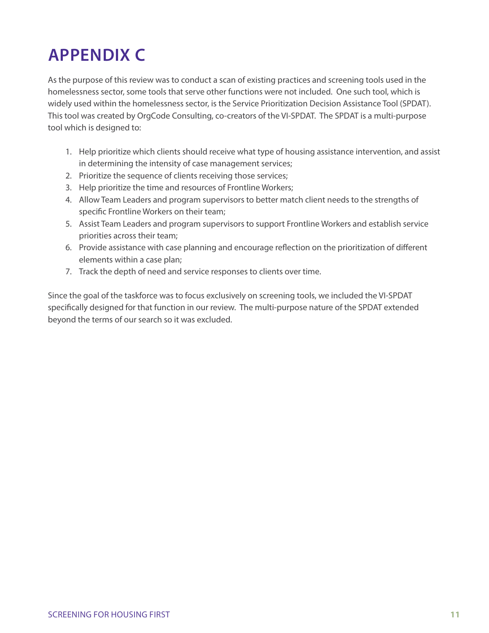## **APPENDIX C**

As the purpose of this review was to conduct a scan of existing practices and screening tools used in the homelessness sector, some tools that serve other functions were not included. One such tool, which is widely used within the homelessness sector, is the Service Prioritization Decision Assistance Tool (SPDAT). This tool was created by OrgCode Consulting, co-creators of the VI-SPDAT. The SPDAT is a multi-purpose tool which is designed to:

- 1. Help prioritize which clients should receive what type of housing assistance intervention, and assist in determining the intensity of case management services;
- 2. Prioritize the sequence of clients receiving those services;
- 3. Help prioritize the time and resources of Frontline Workers;
- 4. Allow Team Leaders and program supervisors to better match client needs to the strengths of specific Frontline Workers on their team;
- 5. Assist Team Leaders and program supervisors to support Frontline Workers and establish service priorities across their team;
- 6. Provide assistance with case planning and encourage reflection on the prioritization of different elements within a case plan;
- 7. Track the depth of need and service responses to clients over time.

Since the goal of the taskforce was to focus exclusively on screening tools, we included the VI-SPDAT specifically designed for that function in our review. The multi-purpose nature of the SPDAT extended beyond the terms of our search so it was excluded.